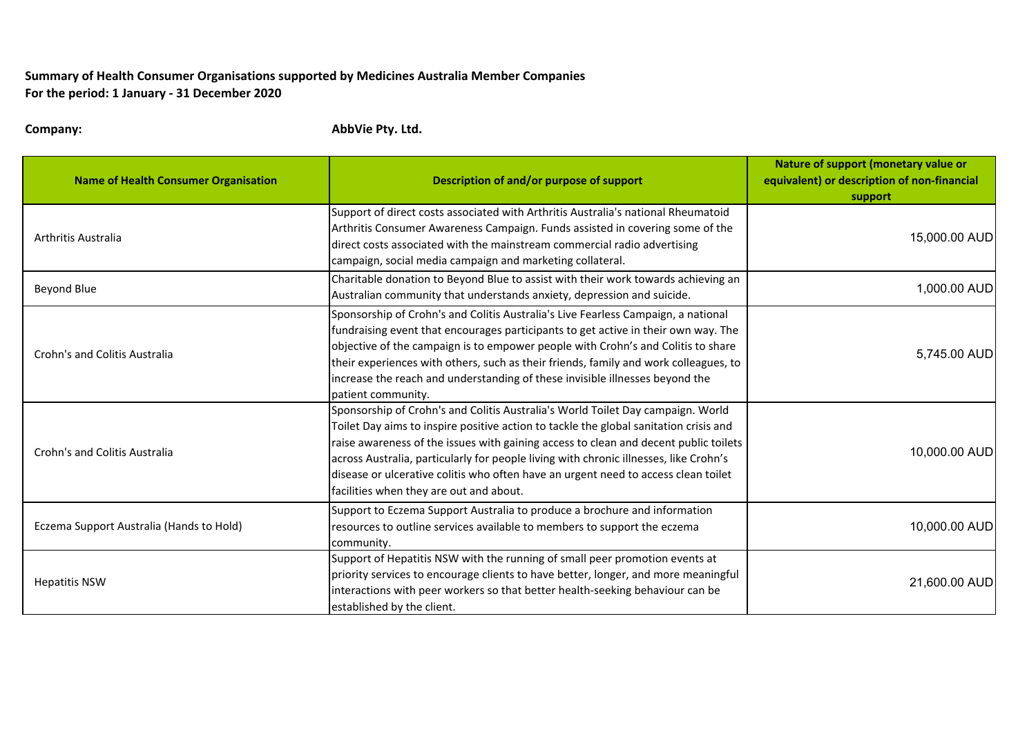## **Summary of Health Consumer Organisations supported by Medicines Australia Member Companies For the period: 1 January ‐ 31 December 2020**

**Company: AbbVie Pty. Ltd.**

| <b>Name of Health Consumer Organisation</b> | Description of and/or purpose of support                                                                                                                                                                                                                                                                                                                                                                                                                                                   | Nature of support (monetary value or<br>equivalent) or description of non-financial<br>support |
|---------------------------------------------|--------------------------------------------------------------------------------------------------------------------------------------------------------------------------------------------------------------------------------------------------------------------------------------------------------------------------------------------------------------------------------------------------------------------------------------------------------------------------------------------|------------------------------------------------------------------------------------------------|
| Arthritis Australia                         | Support of direct costs associated with Arthritis Australia's national Rheumatoid<br>Arthritis Consumer Awareness Campaign. Funds assisted in covering some of the<br>direct costs associated with the mainstream commercial radio advertising<br>campaign, social media campaign and marketing collateral.                                                                                                                                                                                | 15,000.00 AUD                                                                                  |
| Beyond Blue                                 | Charitable donation to Beyond Blue to assist with their work towards achieving an<br>Australian community that understands anxiety, depression and suicide.                                                                                                                                                                                                                                                                                                                                | 1,000.00 AUD                                                                                   |
| Crohn's and Colitis Australia               | Sponsorship of Crohn's and Colitis Australia's Live Fearless Campaign, a national<br>fundraising event that encourages participants to get active in their own way. The<br>objective of the campaign is to empower people with Crohn's and Colitis to share<br>their experiences with others, such as their friends, family and work colleagues, to<br>increase the reach and understanding of these invisible illnesses beyond the<br>patient community.                                  | 5,745.00 AUD                                                                                   |
| Crohn's and Colitis Australia               | Sponsorship of Crohn's and Colitis Australia's World Toilet Day campaign. World<br>Toilet Day aims to inspire positive action to tackle the global sanitation crisis and<br>raise awareness of the issues with gaining access to clean and decent public toilets<br>across Australia, particularly for people living with chronic illnesses, like Crohn's<br>disease or ulcerative colitis who often have an urgent need to access clean toilet<br>facilities when they are out and about. | 10,000.00 AUD                                                                                  |
| Eczema Support Australia (Hands to Hold)    | Support to Eczema Support Australia to produce a brochure and information<br>resources to outline services available to members to support the eczema<br>community.                                                                                                                                                                                                                                                                                                                        | 10,000.00 AUD                                                                                  |
| <b>Hepatitis NSW</b>                        | Support of Hepatitis NSW with the running of small peer promotion events at<br>priority services to encourage clients to have better, longer, and more meaningful<br>interactions with peer workers so that better health-seeking behaviour can be<br>established by the client.                                                                                                                                                                                                           | 21,600.00 AUD                                                                                  |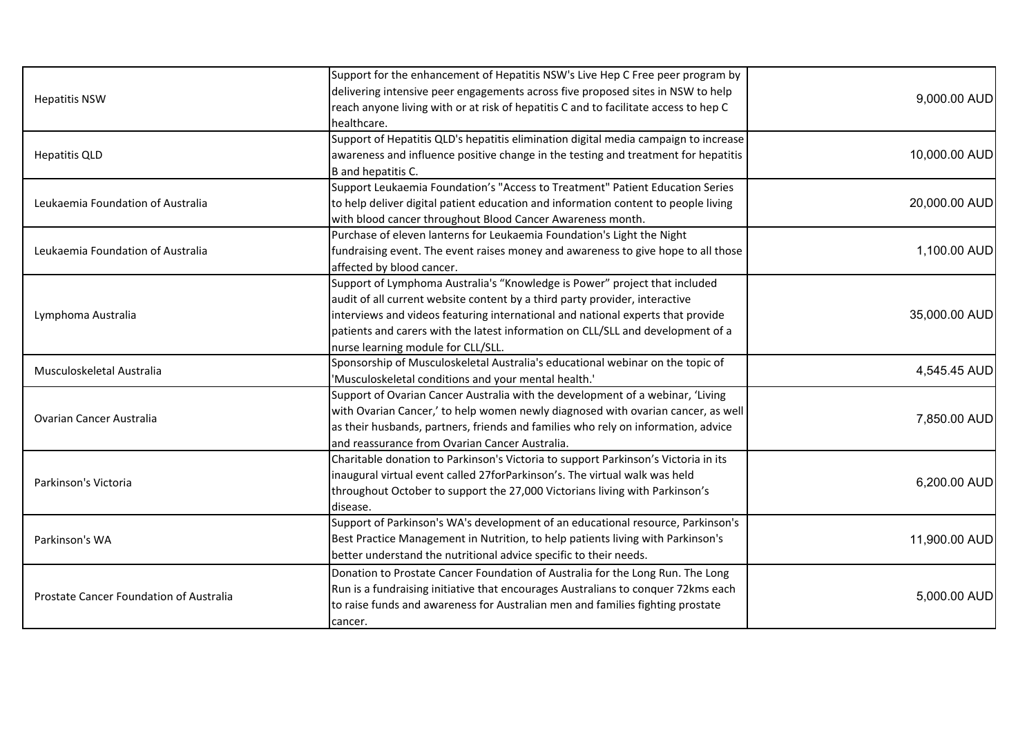| <b>Hepatitis NSW</b><br><b>Hepatitis QLD</b> | Support for the enhancement of Hepatitis NSW's Live Hep C Free peer program by       |               |
|----------------------------------------------|--------------------------------------------------------------------------------------|---------------|
|                                              | delivering intensive peer engagements across five proposed sites in NSW to help      | 9,000.00 AUD  |
|                                              | reach anyone living with or at risk of hepatitis C and to facilitate access to hep C |               |
|                                              | healthcare.                                                                          |               |
|                                              | Support of Hepatitis QLD's hepatitis elimination digital media campaign to increase  |               |
|                                              | awareness and influence positive change in the testing and treatment for hepatitis   | 10,000.00 AUD |
| Leukaemia Foundation of Australia            | B and hepatitis C.                                                                   |               |
|                                              | Support Leukaemia Foundation's "Access to Treatment" Patient Education Series        |               |
|                                              | to help deliver digital patient education and information content to people living   | 20,000.00 AUD |
|                                              | with blood cancer throughout Blood Cancer Awareness month.                           |               |
|                                              | Purchase of eleven lanterns for Leukaemia Foundation's Light the Night               |               |
| Leukaemia Foundation of Australia            | fundraising event. The event raises money and awareness to give hope to all those    | 1,100.00 AUD  |
|                                              | affected by blood cancer.                                                            |               |
|                                              | Support of Lymphoma Australia's "Knowledge is Power" project that included           |               |
|                                              | audit of all current website content by a third party provider, interactive          |               |
| Lymphoma Australia                           | interviews and videos featuring international and national experts that provide      | 35,000.00 AUD |
|                                              | patients and carers with the latest information on CLL/SLL and development of a      |               |
|                                              | nurse learning module for CLL/SLL.                                                   |               |
| Musculoskeletal Australia                    | Sponsorship of Musculoskeletal Australia's educational webinar on the topic of       | 4,545.45 AUD  |
|                                              | 'Musculoskeletal conditions and your mental health.'                                 |               |
|                                              | Support of Ovarian Cancer Australia with the development of a webinar, 'Living       |               |
| <b>Ovarian Cancer Australia</b>              | with Ovarian Cancer,' to help women newly diagnosed with ovarian cancer, as well     | 7,850.00 AUD  |
|                                              | as their husbands, partners, friends and families who rely on information, advice    |               |
|                                              | and reassurance from Ovarian Cancer Australia.                                       |               |
| Parkinson's Victoria                         | Charitable donation to Parkinson's Victoria to support Parkinson's Victoria in its   | 6,200.00 AUD  |
|                                              | inaugural virtual event called 27forParkinson's. The virtual walk was held           |               |
|                                              | throughout October to support the 27,000 Victorians living with Parkinson's          |               |
|                                              | disease.                                                                             |               |
| Parkinson's WA                               | Support of Parkinson's WA's development of an educational resource, Parkinson's      |               |
|                                              | Best Practice Management in Nutrition, to help patients living with Parkinson's      | 11,900.00 AUD |
|                                              | better understand the nutritional advice specific to their needs.                    |               |
| Prostate Cancer Foundation of Australia      | Donation to Prostate Cancer Foundation of Australia for the Long Run. The Long       | 5,000.00 AUD  |
|                                              | Run is a fundraising initiative that encourages Australians to conquer 72kms each    |               |
|                                              | to raise funds and awareness for Australian men and families fighting prostate       |               |
|                                              | cancer.                                                                              |               |